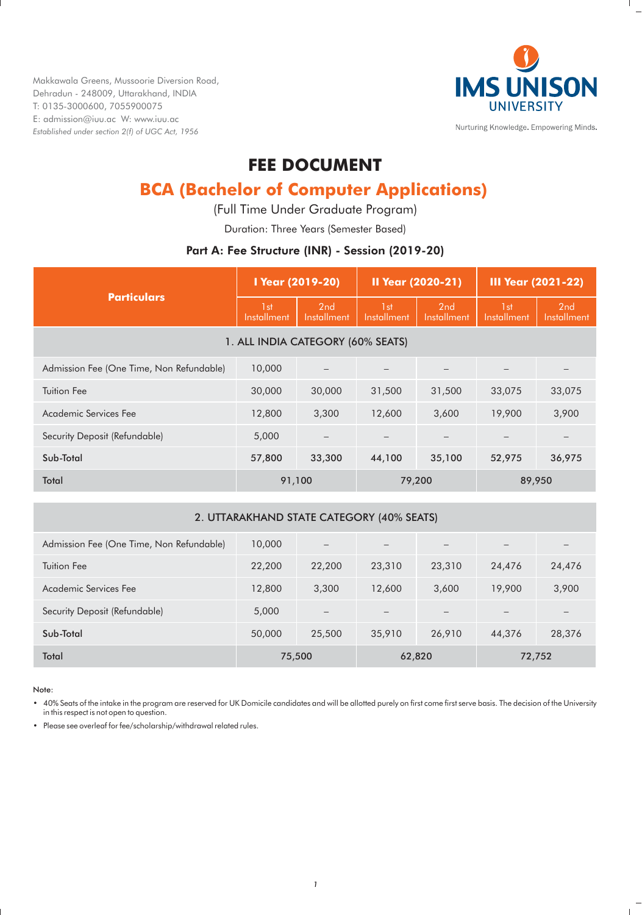Makkawala Greens, Mussoorie Diversion Road, Dehradun - 248009, Uttarakhand, INDIA T: 0135-3000600, 7055900075 E: admission@iuu.ac W: www.iuu.ac *Established under section 2(f) of UGC Act, 1956*



Nurturing Knowledge. Empowering Minds.

## **FEE DOCUMENT**

# **BCA (Bachelor of Computer Applications)**

(Full Time Under Graduate Program)

Duration: Three Years (Semester Based)

## Part A: Fee Structure (INR) - Session (2019-20)

| <b>Particulars</b>                       | I Year (2019-20)   |                          | <b>II Year (2020-21)</b><br><b>III Year (2021-22)</b> |                    |                                |                    |
|------------------------------------------|--------------------|--------------------------|-------------------------------------------------------|--------------------|--------------------------------|--------------------|
|                                          | 1st<br>Installment | 2nd<br>Installment       | 1 <sub>st</sub><br>Installment                        | 2nd<br>Installment | 1 <sub>st</sub><br>Installment | 2nd<br>Installment |
| 1. ALL INDIA CATEGORY (60% SEATS)        |                    |                          |                                                       |                    |                                |                    |
| Admission Fee (One Time, Non Refundable) | 10,000             | $\overline{\phantom{m}}$ |                                                       |                    |                                |                    |
| <b>Tuition Fee</b>                       | 30,000             | 30,000                   | 31,500                                                | 31,500             | 33,075                         | 33,075             |
| Academic Services Fee                    | 12,800             | 3,300                    | 12,600                                                | 3,600              | 19,900                         | 3,900              |
| Security Deposit (Refundable)            | 5,000              | $\overline{\phantom{m}}$ |                                                       |                    |                                |                    |
| Sub-Total                                | 57,800             | 33,300                   | 44,100                                                | 35,100             | 52,975                         | 36,975             |
| Total                                    | 91,100             |                          | 79,200                                                |                    | 89,950                         |                    |

## 2. UTTARAKHAND STATE CATEGORY (40% SEATS)

| Admission Fee (One Time, Non Refundable) | 10,000 | $\qquad \qquad -$        |        |                          | $-$    |        |
|------------------------------------------|--------|--------------------------|--------|--------------------------|--------|--------|
| Tuition Fee                              | 22,200 | 22,200                   | 23,310 | 23,310                   | 24,476 | 24,476 |
| Academic Services Fee                    | 12,800 | 3,300                    | 12,600 | 3,600                    | 19,900 | 3,900  |
| Security Deposit (Refundable)            | 5,000  | $\overline{\phantom{m}}$ |        | $\overline{\phantom{0}}$ | $-$    | -      |
| Sub-Total                                | 50,000 | 25,500                   | 35,910 | 26,910                   | 44,376 | 28,376 |
| Total                                    |        | 75,500                   | 62,820 |                          | 72,752 |        |

Note:

• 40% Seats of the intake in the program are reserved for UK Domicile candidates and will be allotted purely on first come first serve basis. The decision of the University in this respect is not open to question.

• Please see overleaf for fee/scholarship/withdrawal related rules.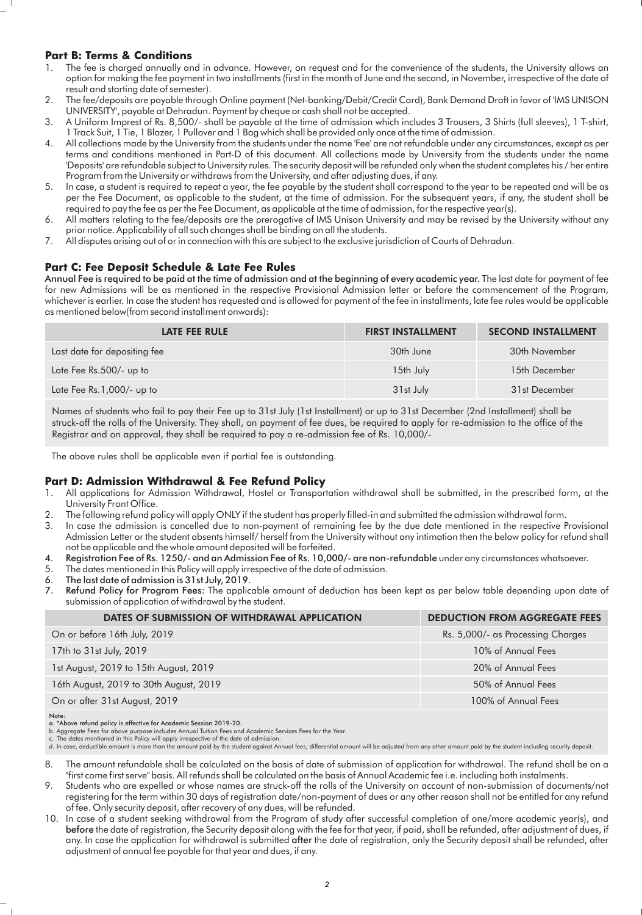## **Part B: Terms & Conditions**

- 1. The fee is charged annually and in advance. However, on request and for the convenience of the students, the University allows an option for making the fee payment in two installments (first in the month of June and the second, in November, irrespective of the date of result and starting date of semester).
- 2. The fee/deposits are payable through Online payment (Net-banking/Debit/Credit Card), Bank Demand Draft in favor of 'IMS UNISON UNIVERSITY', payable at Dehradun. Payment by cheque or cash shall not be accepted.
- 3. A Uniform Imprest of Rs. 8,500/- shall be payable at the time of admission which includes 3 Trousers, 3 Shirts (full sleeves), 1 T-shirt, 1 Track Suit, 1 Tie, 1 Blazer, 1 Pullover and 1 Bag which shall be provided only once at the time of admission.
- 4. All collections made by the University from the students under the name 'Fee' are not refundable under any circumstances, except as per terms and conditions mentioned in Part-D of this document. All collections made by University from the students under the name 'Deposits' are refundable subject to University rules. The security deposit will be refunded only when the student completes his / her entire Program from the University or withdraws from the University, and after adjusting dues, if any.
- 5. In case, a student is required to repeat a year, the fee payable by the student shall correspond to the year to be repeated and will be as per the Fee Document, as applicable to the student, at the time of admission. For the subsequent years, if any, the student shall be required to pay the fee as per the Fee Document, as applicable at the time of admission, for the respective year(s).
- 6. All matters relating to the fee/deposits are the prerogative of IMS Unison University and may be revised by the University without any prior notice. Applicability of all such changes shall be binding on all the students.
- 7. All disputes arising out of or in connection with this are subject to the exclusive jurisdiction of Courts of Dehradun.

## **Part C: Fee Deposit Schedule & Late Fee Rules**

Annual Fee is required to be paid at the time of admission and at the beginning of every academic year. The last date for payment of fee for new Admissions will be as mentioned in the respective Provisional Admission letter or before the commencement of the Program, whichever is earlier. In case the student has requested and is allowed for payment of the fee in installments, late fee rules would be applicable as mentioned below(from second installment onwards):

| <b>LATE FEE RULE</b>         | <b>FIRST INSTALLMENT</b> | <b>SECOND INSTALLMENT</b> |
|------------------------------|--------------------------|---------------------------|
| Last date for depositing fee | 30th June                | 30th November             |
| Late Fee Rs.500/- up to      | 15th July                | 15th December             |
| Late Fee $Rs.1,000/-$ up to  | 31st July                | 31st December             |

Names of students who fail to pay their Fee up to 31st July (1st Installment) or up to 31st December (2nd Installment) shall be struck-off the rolls of the University. They shall, on payment of fee dues, be required to apply for re-admission to the office of the Registrar and on approval, they shall be required to pay a re-admission fee of Rs. 10,000/-

The above rules shall be applicable even if partial fee is outstanding.

## **Part D: Admission Withdrawal & Fee Refund Policy**

- 1. All applications for Admission Withdrawal, Hostel or Transportation withdrawal shall be submitted, in the prescribed form, at the University Front Office.
- 2. The following refund policy will apply ONLY if the student has properly filled-in and submitted the admission withdrawal form.
- 3. In case the admission is cancelled due to non-payment of remaining fee by the due date mentioned in the respective Provisional Admission Letter or the student absents himself/ herself from the University without any intimation then the below policy for refund shall not be applicable and the whole amount deposited will be forfeited.
- 4. Registration Fee of Rs. 1250/- and an Admission Fee of Rs. 10,000/- are non-refundable under any circumstances whatsoever.
- 5. The dates mentioned in this Policy will apply irrespective of the date of admission.<br>6. The last date of admission is 31st July. 2019.
- 6. The last date of admission is 31st July, 2019.<br>7. Refund Policy for Program Fees: The applic
- Refund Policy for Program Fees: The applicable amount of deduction has been kept as per below table depending upon date of submission of application of withdrawal by the student.

| DATES OF SUBMISSION OF WITHDRAWAL APPLICATION | <b>DEDUCTION FROM AGGREGATE FEES</b> |
|-----------------------------------------------|--------------------------------------|
| On or before 16th July, 2019                  | Rs. 5,000/- as Processing Charges    |
| 17th to 31st July, 2019                       | 10% of Annual Fees                   |
| 1st August, 2019 to 15th August, 2019         | 20% of Annual Fees                   |
| 16th August, 2019 to 30th August, 2019        | 50% of Annual Fees                   |
| On or after 31st August, 2019                 | 100% of Annual Fees                  |

Note:

a. \*Above refund policy is effective for Academic Session 2019-20.

b. Aggregate Fees for above purpose includes Annual Tuition Fees and Academic Services Fees for the Year. c. The dates mentioned in this Policy will apply irrespective of the date of admission.

d. In case, deductible amount is more than the amount paid by the student against Annual fees, differential amount will be adjusted from any other amount paid by the student including security deposit.

- 8. The amount refundable shall be calculated on the basis of date of submission of application for withdrawal. The refund shall be on a "first come first serve" basis. All refunds shall be calculated on the basis of Annual Academic fee i.e. including both instalments.
- 9. Students who are expelled or whose names are struck-off the rolls of the University on account of non-submission of documents/not registering for the term within 30 days of registration date/non-payment of dues or any other reason shall not be entitled for any refund of fee. Only security deposit, after recovery of any dues, will be refunded.
- 10. In case of a student seeking withdrawal from the Program of study after successful completion of one/more academic year(s), and before the date of registration, the Security deposit along with the fee for that year, if paid, shall be refunded, after adjustment of dues, if any. In case the application for withdrawal is submitted after the date of registration, only the Security deposit shall be refunded, after adjustment of annual fee payable for that year and dues, if any.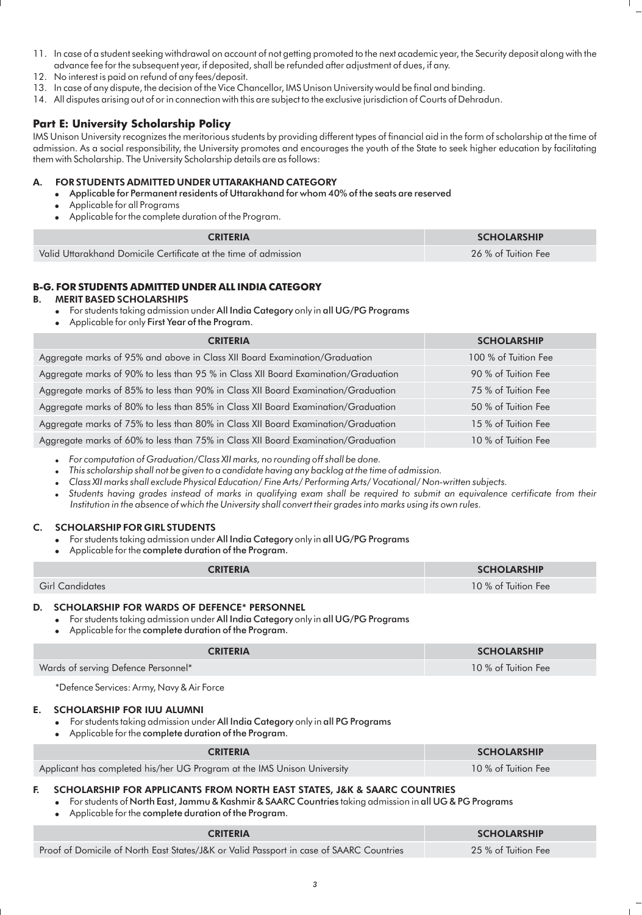- 11. In case of a student seeking withdrawal on account of not getting promoted to the next academic year, the Security deposit along with the advance fee for the subsequent year, if deposited, shall be refunded after adjustment of dues, if any.
- 12. No interest is paid on refund of any fees/deposit.
- 13. In case of any dispute, the decision of the Vice Chancellor, IMS Unison University would be final and binding.
- 14. All disputes arising out of or in connection with this are subject to the exclusive jurisdiction of Courts of Dehradun.

## **Part E: University Scholarship Policy**

IMS Unison University recognizes the meritorious students by providing different types of financial aid in the form of scholarship at the time of admission. As a social responsibility, the University promotes and encourages the youth of the State to seek higher education by facilitating them with Scholarship. The University Scholarship details are as follows:

## FOR STUDENTS ADMITTED UNDER UTTARAKHAND CATEGORY

- ! Applicable for Permanent residents of Uttarakhand for whom 40% of the seats are reserved
- ! Applicable for all Programs
- ! Applicable for the complete duration of the Program.

| <b>CRITERIA</b>                                                 | <b>SCHOLARSHIP</b>  |  |
|-----------------------------------------------------------------|---------------------|--|
| Valid Uttarakhand Domicile Certificate at the time of admission | 26 % of Tuition Fee |  |

## **B-G. FOR STUDENTS ADMITTED UNDER ALL INDIA CATEGORY**

#### **MERIT BASED SCHOLARSHIPS**

- ! For students taking admission under All India Category only in all UG/PG Programs
- Applicable for only First Year of the Program.

| <b>CRITERIA</b>                                                                    | <b>SCHOLARSHIP</b>   |
|------------------------------------------------------------------------------------|----------------------|
| Aggregate marks of 95% and above in Class XII Board Examination/Graduation         | 100 % of Tuition Fee |
| Aggregate marks of 90% to less than 95 % in Class XII Board Examination/Graduation | 90 % of Tuition Fee  |
| Aggregate marks of 85% to less than 90% in Class XII Board Examination/Graduation  | 75 % of Tuition Fee  |
| Aggregate marks of 80% to less than 85% in Class XII Board Examination/Graduation  | 50 % of Tuition Fee  |
| Aggregate marks of 75% to less than 80% in Class XII Board Examination/Graduation  | 15 % of Tuition Fee  |
| Aggregate marks of 60% to less than 75% in Class XII Board Examination/Graduation  | 10 % of Tuition Fee  |

! *For computation of Graduation/Class XII marks, no rounding off shall be done.*

! *This scholarship shall not be given to a candidate having any backlog at the time of admission.*

! *Class XII marks shall exclude Physical Education/ Fine Arts/ Performing Arts/ Vocational/ Non-written subjects.*

! *Students having grades instead of marks in qualifying exam shall be required to submit an equivalence certificate from their Institution in the absence of which the University shall convert their grades into marks using its own rules.*

#### C. SCHOLARSHIP FOR GIRL STUDENTS

- . For students taking admission under All India Category only in all UG/PG Programs
- ! Applicable for the complete duration of the Program.

| <b>CRITERIA</b> | <b>SCHOLARSHIP</b>  |  |  |
|-----------------|---------------------|--|--|
| Girl Candidates | 10 % of Tuition Fee |  |  |

## D. SCHOLARSHIP FOR WARDS OF DEFENCE\* PERSONNEL

! For students taking admission under All India Category only in all UG/PG Programs

Applicable for the complete duration of the Program.

| <b>CRITERIA</b>                     | <b>SCHOLARSHIP</b>  |
|-------------------------------------|---------------------|
| Wards of serving Defence Personnel* | 10 % of Tuition Fee |
|                                     |                     |

\*Defence Services: Army, Navy & Air Force

#### E. SCHOLARSHIP FOR IUU ALUMNI

- For students taking admission under All India Category only in all PG Programs
- ! Applicable for the complete duration of the Program.

| <b>CRITERIA</b>                                                         | <b>SCHOLARSHIP</b>  |
|-------------------------------------------------------------------------|---------------------|
| Applicant has completed his/her UG Program at the IMS Unison University | 10 % of Tuition Fee |

## F. SCHOLARSHIP FOR APPLICANTS FROM NORTH EAST STATES, J&K & SAARC COUNTRIES

! For students of North East, Jammu & Kashmir & SAARC Countries taking admission in all UG & PG Programs

Applicable for the complete duration of the Program.

| <b>CRITERIA</b>                                                                         | <b>SCHOLARSHIP</b>  |
|-----------------------------------------------------------------------------------------|---------------------|
| Proof of Domicile of North East States/J&K or Valid Passport in case of SAARC Countries | 25 % of Tuition Fee |